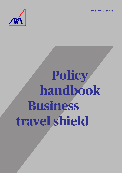**Travel insurance**



# **Policy handbook Business travel shield**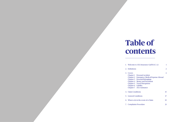- 
- 2. Defin
- 3. Cove Cha<sub>l</sub><br>Cha<sub>l</sub>  $Chap$  $Chai$  $Chai$  $Chai$ Chap
- 4. Clair
- 5. Gene
- 6. What  $\theta$
- 7. Com

# **Table of contents**

|    | 1. Welcome to AXA Insurance Gulf B.S.C. (c) |                                                                                                                                                                                                                                    |    |
|----|---------------------------------------------|------------------------------------------------------------------------------------------------------------------------------------------------------------------------------------------------------------------------------------|----|
|    | 2. Definitions                              |                                                                                                                                                                                                                                    |    |
| 3. | Covers<br>Chapter 6 Liability               | <b>Chapter 1</b> Personal Accident<br>Chapter 2 Emergency Medical Expense Abroad<br><b>Chapter 3</b> Personal Belongings<br>Chapter 4 Money and Document<br><b>Chapter 5</b> Travel Disruptions<br><b>Chapter 7 AXA Assistance</b> | 4  |
|    | 4. Claim Conditions                         |                                                                                                                                                                                                                                    | 15 |
|    | 5. General Conditions                       |                                                                                                                                                                                                                                    |    |
|    | 6. What to do in the event of a Claim<br>19 |                                                                                                                                                                                                                                    |    |
|    | 7. Complaints Procedure<br>21               |                                                                                                                                                                                                                                    |    |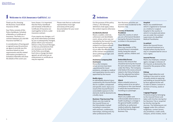Thank you for choosing the Business Travel Shield Insurance of AXA.

Your Policy consists of this Policy Handbook, Schedule of Benefits or Certificate of Insurance. The Policy is a contract between you and AXA Insurance Gulf BSC (c)

In consideration of having paid or agreed to pay the premium we agree to provide you this insurance based on your requirements and the related information provided to us. Schedule of Benefits will show the details of the covers you

have chosen. It is important that the Policy Handbook and Schedule of Benefits or Certificate of Insurance are read together to form a valid insurance contract.

If you require any changes, or if any of the information provided by you is subsequently changed, please inform your Insurance Advisor or Key Account Manager, so that any amendments that are necessary can be made to the Policy accordingly. Each time a change has been agreed, we will send you an endorsement or certificate as may be required.

Please note that our authorised representative must sign and stamp all the policy documentation for your cover to be valid.

## **1 Welcome to AXA Insurance Gulf B.S.C. (c)**

## **2 Definitions**

For the purpose of this policy ('Policy'), the following definitions shall apply unless the context requires otherwise:

#### **Accident/Accidental**

Means a sudden, external, unforeseen and identifiable event, whose action was not intended by the Insured Person, excluding all causes directly related to an Illness suffered by the Insured Person that occurs after the effective date of the contract and produces direct pathological signs and symptoms.

#### **Assistance Company/AXA Assistance**

Means the Company whose services have been requisitioned for travel assistance, emergency medical and repatriation service and is appointed by the Insurer.

#### **Bodily Injury**

An identifiable physical injury sustained by the Insured Person due to a sudden, unexpected and specific event. Injury as a result of the Insured Person's unavoidable exposure to the elements shall be deemed to be a bodily injury.

#### **Business Trip/Journey/Trip**

Means any trip made by the Insured Person on the Policyholder's behalf including in connection with seminars, conferences, internships, training and any other professional event.

Non-Business activities are covered when incidental to the Business Trip.

#### **Country of Domicile/ Residence**

Means the country in which you are a Permanent Resident during the Period of Insurance as shown in the passport.

#### **Close Relatives**

Mean any member of the Insured Person's immediate family, being the natural parents, spouse, children and siblings.

#### **Deductible/Excess**

Excess is the amount that should be borne by the Insured for each and every claim made under the Policy. The Company shall deduct the excess amount stated in the Policy/Schedule from the adjusted loss before making the final payment.

#### **Hijack**

Means unlawful seizure or taking control of an aircraft or conveyance or the crew thereof in which the Insured Person is travelling as a passenger.

#### **Illness/Sickness**

Means any sudden and unforeseeable deterioration in health resulting in a change in the general health condition certified by an authorised medical authority, diagnosed for the first time during a Business Trip.

#### **Hospital**

Means any establishment which is registered or licensed as a medical or surgical hospital in the country in which it is located and where you are under the constant supervision of a Qualified Medical Practitioner.

#### **In-patient**

Means the Insured Person has received treatment at a hospital where he/she has to stay in a hospital bed for one or more nights.

#### **Insured Person**

Means any employee, company agent, manager or director of the Insured, as declared by the Insured for the purpose of this insurance.

#### **Kidnap**

Means illegal abduction and holding or any event or series of events aimed at capturing and holding an Insured Person by force against his/her will in order to obtain a ransom in the form of money, assets or services.

#### **Luggage/Baggage**

Personal property belonging to the Insured Person and taken with him/her during his/ her Business Trip or acquired by him/her during the Journey. The following are not luggage under this contract: eyeglasses, contact lenses, any prosthesis, credit cards, cheques, airline tickets, travel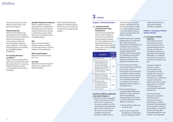tickets and vouchers, other deeds and securities, and personal property.

#### **Medical Expenses**

Means all reasonable costs necessarily incurred outside the normal Country of Domicile whilst the Insured Person is on a journey. Expenses are for hospital, surgical or other diagnostic or remedial treatment given or prescribed by a Qualified Medical Practitioner.

#### **Pre-existing Diseases/ Conditions**

Means any pre-existing defect, infirmity or condition for which the Insured Person is receiving medical treatment, advice or consultation at the time of travelling.

**Qualified Medical Practitioner** Means a medical doctor or specialist who is registered or licensed to practice medicine under the laws of the country in which they practice other than you or a member of your

immediate family.

#### **War**

Means an armed conflict between nations, invasion, act of foreign enemy, civil war, military or usurped power.

#### **We/our/us/Company**

Means AXA Insurance (Gulf) B.S.C. (c).

#### **You/your**

Means the Insured or Insured Person(s) as named on the Policy Schedule.

NOTE: Specific Definitions related to individual Section of this Policy are located and contained in the appropriate Chapter.

# **3 Covers**

#### **Chapter 1: Personal Accident**

#### **1.1. Accidental Death and Permanent Total Disablement**

Pay the amount of Benefit shown in the Schedule if any of the Insured Person shall during the duration of a Trip as defined sustain Accidental Bodily Injury which independently of any other cause results in Death or Disablement.

|  |                | <b>Description</b>                                                                                                                                                                                                      | Amount<br>of<br><b>Benefit</b> |
|--|----------------|-------------------------------------------------------------------------------------------------------------------------------------------------------------------------------------------------------------------------|--------------------------------|
|  | $\mathbf{1}$   | <b>Accidental Death</b>                                                                                                                                                                                                 | 100%                           |
|  | $\overline{2}$ | Total and irrecoverable<br>loss of all sight in one or<br>both eyes following an<br>Accident rendering the<br>Insured Person absolutely<br>blind in the eye or eyes<br>beyond remedy by surgical<br>or other treatment. | 100%                           |
|  | 3              | Total loss by physical<br>severance or complete<br>and/or one foot or both<br>feet following an Accident.                                                                                                               | 100%                           |
|  | 4              | <b>Permanent Total</b><br>Disablement following<br>an Accident entirely<br>preventing the Insured<br>Person from following<br>any occupation.                                                                           | 100%                           |

#### **Specific Conditions applicable to Accident Chapter 1:**

1. Benefit shall not be payable under more than one of the items 1 to 4 in respect of the same Accident or of the same period of disablement. After a claim under any of the items 1 to 4 has been admitted and become payable in respect of any

2. Benefit under item 4 shall be

- Insured Person no further liability shall attach to the Company in respect of that Person during the duration of the Trip and the Person shall be excluded from the Policy forthwith.
- payable only on certification by a medical referee of Permanent Total Disablement as defined and not before the expiry of 52 consecutive weeks of disablement. Benefits shall not be payable for disabilities arising from Repetitive Stress (strain) Injury or Syndrome or any gradually operating cause.
- 3. In the event of more than one Insured Person travelling in the same aircraft or conveyance at the same time our liability on the aircraft or conveyance shall not exceed the conveyance limit shown in the Schedule of Benefits or Certificate of Insurance regardless of the number of Insured Persons.
- 4. If the Insured Person is already disabled before the Accident or had a condition which was gradually deteriorating, we will make a medical assessment of the difference between:
- a) The Disablement after the Accident; and
- b) The extent to which the

Disablement is affected by the pre-existing condition

before the Accident, to determine whether benefits are payable.

#### **Chapter 2: emergency Medical expense abroad**

#### **2.1. Emergency Medical Expenses**

If during the Period of Insurance an Insured Person becomes sick or injured during a trip, we will pay up to but not exceeding in all the sum specified in the Schedule of Benefits or Certificate of Insurance in respect of all claims arising from one Trip.

Emergency Medical Expenses: means all reasonable costs necessarily incurred outside the Country of Domicile for hospital, nursing home, ambulance, surgical, emergency dental treatment or other diagnostics or remedial treatments given or prescribed by a Qualified Practitioner.

The Insured Person may pursue outpatient treatment that is necessarily incurred following an in-patient treatment. We shall pay for this out-patient treatment but limited to a maximum period of 25 days after being discharged from the hospital. This outpatient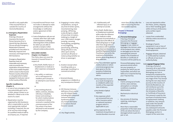benefit is only applicable if the Insured Person is outside the Country of Domicile/Residence.

#### **2.2.Emergency Repatriation Expenses**

If during a Period of Insurance the Insured Person becomes ill or is injured during a Business Trip we will pay Emergency Repatriation Expenses provided such evacuation is: Medically required and necessary and Organised by AXA Assistance.

Emergency Repatriation Expenses mean all reasonable and necessary costs incurred for the repatriation of Insured Person to the most suitable Hospital which is closer to the Insured Persons Country of Domicile or a hospital which is better equipped to treat your case or to the Country of Domicile.

#### **Specific Conditions to Chapter 2:**

- 1. In case of any emergency that may potentially give rise to a claim, please contact us as detailed in 'What to do in the event of a claim'.
- 2. Repatriation must be organised by AXA Assistance who is responsible to use the most appropriate method including, if required, the use of air services and arrange for qualified medical staff to accompany you, if required.
- 3. Insured/Insured Person must not make or attempt to make arrangements without the knowledge or notification and/or agreement of AXA Assistance.
- 4. Costs of telephone calls are not covered, other than calls made to AXA Assistance notifying/ informing them of the problem for which you are able to provide a receipt or other relevant evidence/documents.

#### **EXCLUDED CAUSES: Chapter 1 & Chapter 2**

This Policy does not cover the Insured or Insured Person in respect of:

- a) Any Death, Bodily Injury or Disablement or medical or other expenses consequent upon
- i. Any wilful, or malicious act or self exposure to needless peril (except in an attempt to save human life).

or

ii. Any existing physical, defect, sickness, disease, infirmity or disability known and existing or for which medical advice or treatment is being received or awaited at the commencement of the Trip unless it has been declared to and accepted by the Company.

or

iii. Engaging in motor rallies, competitions, racing of any kind of winter sports, mountaineering, base jumping, cliff diving, scuba diving to a depth of more than 10 meters, trekking to a height of over 2,500 meters, bungee jumping, canoeing, hand-gliding, paragliding or microlighting, parachuting, potholing, skiing off-piste or any other sport activity carried out off-piste or motorcycling (whether as driver or passenger).

#### or

- iv. Aviation (except when travelling solely as a passenger travelling in a commercial airline).
	-

or

v. Venereal disease, pregnancy or childbirth or any consequence thereof.

- Loss not reported to either the Police, airline, shipping line or their handling agent within 24 hours of discovery and a written report obtained.
- Losses from unattended vehicles unless secured in a locked boot.
- Breakage of sports equipment in use or loss of or damage to pedal cycles or hired equipment.
- Baggage delayed, detained or confiscated by Customs or officials of any local authority/body.

#### or

vi. HIV (Human Immunedeficiency Virus) and/or any HIV related Illness including AIDS (Acquired Immune Deficiency Syndrome) and/or any mutant derivative or variations thereof however caused.

#### or

vii. Any illegal activity.

- viii. A deliberately selfinflicted injury or an attempt at suicide.
- b) Any Death. Bodily Injury or Disablement sustained while under the influence of or medical or other expenses incurred wholly or partly due to the effects of intoxicating liquor or drugs other than drugs taken in accordance with treatment prescribed and directed by a Qualified Registered Medical Practitioner but not for the treatment of alcoholism, alcohol abuse drug abuse, or drug addiction.
- c) Any Trip undertaken against medical advice or where a terminal prognosis has been given or for the purpose of obtaining medical treatment or advice.
- d) Any expenses incurred as a result of pregnancy or childbirth within two months of the expected date of delivery.
- e) Any Dental or Optical expenses.
- f) Any expenses which are recovered from any other insurance policy or national insurance program which is applicable to you.
- g) Any expense for the treatment of psychiatric or mental disorders incurred

more than 28 days after the date of incurring the first recoverable expense.

#### **Chapter 3: Personal Belongings**

### **3.1.Personal Belongings**

If during a Period of Insurance the Personal Belongings or luggage/ baggage is lost, stolen or damaged, the intrinsic value of the property lost, stolen, or damaged up to but not exceeding the amount stated in the Schedule of Benefits or Certificate of Insurance will be paid by us.

Personal Belonging: means personal articles which are your property; or property for which you are responsible; and which are taken on or acquired during your Trip/Journey.

#### **Exclusions**

- Claims arising out of moth, vermin, wear and tear, atmospheric or climatic conditions or gradual deterioration.
- Mechanical or electrical failure.
- Any process of cleaning, repairing, restoring or alteration.
- More than a reasonable of the set where the lost or damaged article is part of a pair or set.

proportion of the total value

#### **3.2.Luggage/Baggage Delay**

If during a Period of Insurance all or part of the Insured Person's Personal Belongings are lost or temporarily misplaced for more than six hours during any stage of the Trip (except during the non-stop return journey to the Country of Domicile/Residence), we will reimburse up to the set amount as shown in the Schedule of Benefits or Certificate of Insurance. This amount is paid for the purchase of essential items of replacement clothing or toiletries. Any amount paid under this benefit will be deducted from any subsequent amounts payable under the Personal Belongings section in respect of the same loss.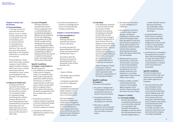#### **Chapter 4: Money and documents**

#### **4.1.Personal Money**

If during a Period of Insurance Business Money is lost or stolen during a Business Trip, or during the 72 hours immediately prior to commencement or subsequent to completion of the Business Trip, we will pay up to the amount specified in the Schedule of Benefits or Certificate of Insurance.

Personal Money: means coins, bank notes, prepaid coupons, travel tickets, signed travellers cheques, which are in your custody and control and are intended for travel, meals, accommodations and Business Trip expenditure only.

#### **4.2.Misuse of Credit Card:**

If during a Period of Insurance the Insured Person sustains a financial loss directly as a result of a Corporate Credit or Corporate Charge Card being lost or stolen during a Business Trip and is subsequently used fraudulently by any person other than you or an authorised user, we will indemnify you for such a loss up to the amount of USD 1,500.

### **4.3.Loss of Passport**

If during a Period of Insurance the Insured Person's passport is lost or unintentionally and Accidentally damaged or defaced we will reimburse for the cost of getting a new passport up to USD 500.00 in respect of fees charged by the consular, visa and/or passport office and any additional travel or accommodation expenses in obtaining any official temporary travel documents or replacement passport and/or visa whilst outside the Country of Domicile.

#### **Specific Conditions to Chapter 3 and Chapter 4:** We will not pay for:

- 1. Loss of Money or Corporate Credit Card or Passport unless it is reported to the Police and/or appropriate authorities within 24 hours of discovery, or earlier if required by the Credit Card issuer, and we are provided with an original written Police report and report to the hotel management if the loss or theft occurs at the hotel.
- 2. Promotional vouchers or coupons awards or any good or services obtained through the conversion of such vouchers coupons or awards.
- 3. Loss due to confiscation or detention by customs or any other authority.

4. Loss due to devaluation of currency or shortage due to errors or omission during monetary transaction.

#### **Chapter 5: Travel Disruptions**

#### **5.1.Trip Cancellation or Curtailment** If during a Period of

Insurance the Insured Person is forced to:

a) Cancel any part of a planned Business Trip prior to the commencement of that Business Trip; or

b) Curtail or alter the itinerary of any part of planned Business Trip during the course of that Business Trip.

Due to:

- Injury or illness;
- The death, injury or illness of Close Relative.
- Compulsory quarantine, jury service, subpoena;
- Cancellation or curtailment of scheduled public transport service consequent upon strike, riot, or civil commotion.

Trip Cancellation or Curtailment: means loss of deposits, or charges for advance payment for travel or accommodations or other charges which have not or will not be used, but which becomes forfeited or payable under contract.

#### **5.2.Trip Delay**

If the departure (outward or return) of the aircraft, sea vessel or Public Transport/Conveyance (including pre-booked) in which the Insured Person(s) have arranged to travel is delayed for at least 18 hours from the departure time indicated by the carrier due to strike, industrial action, adverse weather conditions, mechanical breakdown or structural defect affecting the aircraft or sea vessel we will pay as per the Schedule of Benefits or Certificate of Insurance.

Public Transport or Public Conveyance: means a scheduled air, land or water vehicle operated under license for transportation of fare-paying passengers.

#### **Specific Conditions to Chapter 5:**

Claim will not be paid for:

- 1. Any costs or charges paid or discharged by the use of promotional vouchers or awards of any description.
- 2. Insured/Insured Person deciding not to travel or, deciding not to continue.
- 3. More than a rateable proportion of any expenses which are also recoverable from any other insurance policy.
- 4. Any expenses incurred as a result of pregnancy or childbirth.
- 5. Any expenses incurred as a result of strike, labour dispute, mechanical breakdown or failure of the means of transport (other than disruption of road and rail services by avalanche or flood) which existed or the possibility of which existed and for which advance warning had been given before the date on which the Trip was booked.
- 6. Withdrawal from service temporarily or otherwise of an aircraft or sea vessel on the recommendation or direct orders from the manufacturer, the Civil Aviation Authority, Port Authority or any similar organisation or government body in any country.
- 7. Failure to obtain a written confirmation from the carriers or the handling agent/company of the number of hours delay and the reason for such a delay.

## **Chapter 6: Liability**

#### **6.1. Personal Liability**

We will indemnify the Insured/Insured Person up to a limit of USD 1,000,000 or as specified in the Schedule of Benefits for damages or costs for which the Insured/Insured Person becomes legally liable as

a result of his/her actions during any Business Trip undertaken within the Period of Insurance resulting in:

- i. Accidental Bodily Injury, Death, Illness or disease to any person other than anyone who is in the employment of the Insured or who is a Close Relative or member of the Insured Person's household.
- ii. Accidental loss or damage to the property of any person other than that belonging to or under the control of the Insured/ Insured Person or a Close Relative or member of the Insured Person's household.

#### **Specific Conditions:**

The limit of Indemnity is inclusive of all the costs and expenses incurred with the prior written approval of Company.

1. The Insured Person shall give immediate notice to the Company of any occurrence for which there may be liability under this section and shall provide the Company with such particulars and information as the Company may require and shall forward to the Company immediately on receipt any letter, writ summons and process and shall advise the Company in writing immediately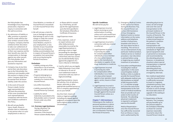the Policyholder has knowledge of any impending prosecution, inquest or inquiry in connection with the said occurrence.

- 2. No admission of liability or offer, promise or payment shall be made without the prior written consent of the Company. Company shall be entitled at their discretion to take over settlement of any claim and to prosecute at their own expense and for their benefit any claim for compensation or damage against any other person. The Policyholder shall give any information and assistance required.
- 3. Company may at any time and at their sole discretion pay to the Policyholder the maximum sum payable under this section in respect of any claim. Company shall then be exempt from all future liability under this section.
- 4. In the event of Insured Person's death, his/her legal representative(s) will have the protection of this cover provided that such representative(s) comply(ies) with the terms and conditions outlined in this Policy.
- 5. We will not pay Bodily Injury, Death, Illness or disease claim or Indemnity to any person who is in your employment or who is a

Close Relative, or member of Insured Person's household or is the Insured Person him/ herself.

6. We will not pay a claim for Loss or Damage to property that belongs to and is in the charge or under the control of any Insured Person, a Close Relative, anyone in your employment, or any member of your household other than any temporary holiday accommodation but in respect of Insured Person's occupation (not ownership) only occurring during the Period of Insurance.

#### **Exclusions:**

- Liability arising out of the ownership or use of animals, vehicles, air craft or water craft.
- Property belonging to or held in trust by or in the custody of or control of the Insured Person.
- any wilful misconduct.
- Liability assumed by the Insured Person by Contract.
- Liability for which Indemnity is provided to the Policyholder and/ or Insured Person under any other insurance.
- **6.2. Overseas Legal Assistance** During a Business Trip within the Period of Insurance, if the Insured Person sustains Bodily Injury

or Illness which is caused by a Third Party, we will pay for the Legal Expenses up to the limit specified in the Schedule of Benefits or Certificate of Insurance.

Legal Expenses mean:

- i. Fees, expenses, costs of an expert witness and other disbursements reasonably incurred by the Legal Representatives in pursuing a claim or legal proceedings for damages and/or compensation against a third Party who has caused you Accidental Bodily Injury against the judgment of a Court, tribunal or Arbitrator.
- ii. Cost for which you are legally liable following a Court order or tribunal or an out-ofcourt settlement made in connection with any claim or legal proceedings.

Legal Representative: means the solicitor, firm of solicitors, lawyer, advocate or other appropriate qualified person or firm or company appointed to act on your behalf.

Any One Clam: means all claims or legal proceedings including any appeal against judgment consequent upon the same original cause, event or circumstance.

#### **Specific Conditions:** We will not be pay for:

- 1. Legal Expenses incurred before receiving our prior authorisation in writing unless such costs would have been incurred subsequent to our authorisation.
- 2. Legal Expenses incurred in connection with any criminal or wilful act.
- 3. Legal Expenses incurred in pursuing any claim for compensation either individually or as a member of a class action lawsuit against the manufacturer, distributor or supplier of any drug, medication or medicine.
- 4. Legal Expenses incurred in pursuing any claim for compensation either individually or as a member of a class action lawsuit against a tour operator, travel agent, carrier, Insurer or their agents.
- 5. Legal Expenses incurred in the defense of any civil claim or legal proceedings made or brought against the Insured/ Insured Person unless as a counter claim.

#### **Chapter 7: AXA Assistance**

Following are the medical or personal assistance or advice services that are available to the Insured Person whilst he/ she is on Business Trip during the Period of Insurance.

7.1. Emergency Medical Centre: In the event of an Illness during the Business Trip, the Insured Person can contact AXA Assistance 24 hour Emergency Medical Centre to receive information on the name, address and telephone number of physicians, hospitals and clinics in the area where he/she is travelling. This service is not an endorsement of any particular medical product, medical service or medical procedure. User discretion is advised before using or beginning any medical treatment or procedure.

7.2. Evacuation and Repatriation with adequate medical care, centre of medical excellence

including Non-medical repatriation: In the event a local hospital, medical facility or clinic is unable to provide the Insured Person AXA Assistance on behalf of AXA Insurance Gulf B. S. C. (c) will then arrange and cover the cost of your transportation to the next that can provide such care and/or to the Country of Domicile. The attending physician's statement is required in writing to exercise this benefit.

Medical Repatriation – once the Insured Person has sufficiently recovered from an Illness or injury and is authorised by the

attending physician to travel, we will arrange and cover the cost of transportation to the principal residence of the Insured Person in the Country of Domicile. The method of repatriation is determined based on the patient's condition and location. The transportation will primarily be arranged by scheduled air flight with special equipment and/ or personnel as necessary and recommended by the attending physician. However, in exceptional situations where special transportation is required and certified by the attending physician, the repatriation will be arranged by alternate.

Non-medical repatriation – once the Insured Person is sufficiently recovered to travel in a regularly scheduled economy class flight, we will pay for the increase in cost to change the travel date and/or an upgrade in the seating at our discretion.

7.3. Repatriation of Mortal Remains: The Company will pay benefits up to the amount stated in the Schedule of Benefits as shown for covered expenses reasonably incurred to return the Insured Person's body to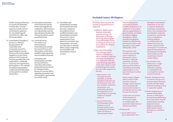his/her Country of Domicile 7.5. Prescription Assistance: or Country of Citizenship if he/she dies. Covered expenses include, but are not limited to, expenses for: (a) embalming; (b) cremation; (c) coffin; and (d) transportation.

7.4. Travel Medical Emergency Services i.e. Medical Transportation: All reasonable costs necessarily incurred in repatriating the Insured Person to the most suitable Hospital or to your home address in the Country of Domicile provided that such repatriation is: medically necessary and organised by AXA Assistance. The method of medical transportation is determined by AXA based on the patient's condition and location.

- In the event the Insured Person has forgotten his medication, AXA Assistance can help provide a doctor who will prescribe the refill of the prescription, where permitted by law.
- 7.6. Travel Advisories, Inoculation and Immunisations: Travel Advisories provide the Insured Person with information on the latest available travel advisories such as weather forecasts.

Inoculation and Immunisation: provides the Insured Person with latest information, obtained from the Centres for Disease Control, Bureau of Consular Affairs, regarding inoculation and immunisation requirements around the world.

7.7. Translation and interpretation: provides the Insured Person with the name, telephone and address of local certified translators and interpretation providers. This service is not an endorsement of any particular translation and interpretation service(s). User discretion is advised before using or beginning any translation and interpretation related services.

This Policy does not cover the Insured or Insured Persons in respect of

- a) Offshore : Bodily Injury, Sickness contracted, expenses arising, loss destruction or damage occurring whilst engaged in any OFFSHORE activity including transit by sea or air to and fro the offshore installations.
- b) War and Similar Perils: Loss, damage, cost or expense of whatsoever nature directly or indirectly caused by, resulting from or in connection with any of the following regardless of any other cause or event contributing concurrently or in any other sequence to the loss
	- i. War, invasion, acts of foreign enemies, hostilities or warlike operations (whether war be declared or not), civil war, rebellion, revolution, insurrection, civil commotion assuming the proportions of or amounting to an uprising, military or usurped power; or
- ii. Any act of terrorism. For the purpose of this Exclusion an act of terrorism means an act, including but not limited to the use of force or violence and/or threat

thereof, of any person or group(s) of persons, whether acting alone or on behalf of or in connection with any organisation(s) or government(s), committed for political, religious, ideological or similar purposes including the intention to influence any Government and/or to put the public, or any section of the public, in fear.

This exclusion also excludes loss, damage, cost or expense of whatsoever nature directly or indirectly caused by, resulting from or in connection with any action taken in controlling, preventing, suppressing or in any way relating to (i) and/or (ii) above.

If the Company alleges that by reason of this exclusion, any loss, damage, cost or expense is not covered by this insurance the burden of proving the contrary shall be upon the Insured.

In the event any portion of this Exclusion is found to be invalid or unenforceable, the remainder shall remain in full force and effect.

c) Radioactivity

i. Any Accident of any loss or destruction of or

damage to any property whatsoever or any loss or expense whatsoever resulting or arising there from or any consequential loss directly or indirectly caused by or contributed to by or arising from ionising radiation or contamination by radioactivity from any nuclear waste from the combustion of nuclear fuel. Solely for the purpose of this Exclusion combustion shall include any selfsustaining process of nuclear fission.

- ii. Any Accident, loss, destruction, or legal liability directly or indirectly caused by or contributed to by or arising from nuclear weapons material.
- d) Death, Disablement, loss or expense arising out of pressure waves caused by aircraft and other flying machine travelling at sonic or supersonic speeds.
- e) Death, Disablement or expense attributable directly or indirectly to Human Immunodeficiency Virus (HIV) and/or any HIV related Illness including Acquired Immune Deficiency Syndrome (AIDS) and/or mutant derivatives or variations thereof.

## **Excluded Causes: All Chapters**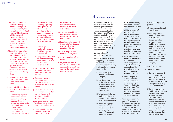- f) Death, Disablement, loss or expense directly or indirectly arising out of or contributed to by the Insured Person's wilful selfinjury, suicide, attempted suicide, psychiatric disorders, deliberate exposure to exceptional danger (except in an attempt to save human life), or the Insured Person's own criminal act.
- g) Death, Disablement, loss or expense arising out of and attributable to the treatment of alcoholism, alcohol abuse, drug abuse or from taking drugs not prescribed by a registered Qualified Medical Practitioner, nor from taking drugs prescribed for the treatment of drug abuse.
- h) Motor cycling as a driver if the Insured Person does not have a valid driving license.
- i) Death, Disablement, loss or expense whilst the Insured Person is:
	- i. Undertaking any form of hazardous work in connection with any business, trade or profession, racing, motor rallies and competitions, professional or organised sports, mountaineering (reasonably requiring the

use of ropes or guides), pot holing, skydiving, winter sports, other extreme sports or any form of aerial flight except as a fare paying passenger on a regular scheduled airline or licensed charter aircraft over an established route;

- ii. Competing in or practicing for speed or time trials, sprints or racing of any kind;
- iii. Engaged in or taking part in expeditions or being a crewmember on a vessel travelling from one country to another.
- j) The excess specified in the Schedule of this Policy as applicable to the relevant chapters.
- k) Expenses incurred as a result of the Insured Person engaging in active services in the Armed Forces of any nation.
- l) Expenses incurred where the Journey is undertaken against the advice of a registered Qualified Medical Practitioner.
- m) Any property or expense more specifically covered under any other insurance.
- n) Death, Disablement, loss, damage or expenses directly or indirectly

occasioned by or commissioned of the attempt to commit an unlawful act.

- o) Costs which would have been payable if the event giving rise to a claim had not occurred.
- p) Costs incurred in respect of the period of any Journey that exceeds 90 days duration of the cover.
- q) Pre-existing Diseases/ Conditions of any kind.
- r) Consequential loss of any nature.
- s) Any costs or expenses incurred in pursuing claims against a travel agent, tour operator, Insurer, insurance agent or carrier.
- 1. Fraudulent Claims: If any claim under this Policy be in any respect fraudulent or if any fraudulent means or devices be used by the Insured or Insured Persons to obtain any Indemnity under this Policy or if any loss destruction or damage be occasioned by the wilful act or with the connivance of the Insured or Insured Person(s), all rights under this Policy shall be forfeited.
- 2. Responsibilities of the Insured/Insured Person:
	- a) Notice of Claims: On the happening of an event for which a Claim is or may be made under this Policy, the Insured or the Insured Person shall:
		- i. Immediately give written notice to the Company.
		- ii. Give immediate notice to the Police authority in respect of malicious damage robbery theft or fraud and obtain a Police Report.
		- iii. Take all practical steps and trace and recover property and/or money as if it were not insured.
		- iv. Where the baggage is lost or damaged while in the custody of carriers the Insured Person shall immediately notify

such carrier in writing and obtain a written report from the carrier.

further time has been allowed in writing by the Company at his/her own expense produce for the Company full particulars of the claim together with details of any other insurance(s) covering the same loss damage or expenses.

furnish all information, assistance (including if requested a statutory truth of the claim) as reasonably require.

- v. Within thirty days of the event unless a
- vi. At his own expense evidence and declaration of the the Company may
- vii. At the Company's Insured Person be
- Insured Person shall at the request and expense of the Company do and concur in doing and or reasonably required

expense submit to medical examination when necessary. The Company shall in the event of death of an entitled to have a post mortem examination at its own expense.

b) Claims Cooperation: The permit to be done all such acts as may be necessary

by the Company for the purpose of:

- i. Enforcing any rights and remedies; or
- ii. Obtaining relief or Indemnity from other parties to which the Company shall be or would become entitled or subrogated upon its paying for or making good any loss destruction or damage under this Policy whether such acts shall be or become necessary before or after his/her indemnification by the Company.
- 3. Rights of the Company
	- a) Control of Claims:
		- i. The Insured or Insured Person(s) shall not in any case be entitled to abandon any property to the Company whether taken possession of by the Company or not.
	- ii. The Company shall be entitled if it so desires to take over and conduct in the Insured's or the Insured Person's name the defense or settlement of any claim or to prosecute in his/ her name for its own benefit any claim for Indemnity or damages or otherwise and shall have full discretion

## **4 Claims Conditions**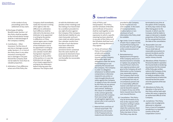in the conduct of any proceedings and in the settlement of any claim.

- b) Discharge of liability: Benefits under Section 1 of this Policy shall be payable to the Insured whose receipt shall be a valid discharge of the Company's liability.
- 4. Contribution Other Insurance: If at the time of any loss or damage covered under Section 2, 3, 4, 5 & 6 of this Policy there is any other insurance covering such loss or damage or any part thereof the Company shall not be liable for more than its rateable proportion.
- 5. Arbitration: If any difference arises out of this Policy the

Company shall immediately notify the Insured in writing of his right to refer the difference to arbitration. Such difference shall be referred to the decision of an Arbitrator to be appointed in writing by the parties in difference or if they cannot agree upon a single Arbitrator to the decision of two Arbitrators one to be appointed in writing by each of the parties within one calendar month after having been required in writing so to do by either of the parties or in case the Arbitrators do not agree of an Umpire appointed in writing by the Arbitrators before entering upon the reference The Umpire shall

sit with the Arbitrators and preside at their meetings and the making of an Award shall be a condition precedent to any right of action against the Company if the Company shall disclaim liability for any claim hereunder and such claim shall not within twenty four calendar months from the date of such disclaimer have been referred to arbitration under the provisions herein contained then the claim shall for all purposes be deemed to have been abandoned and shall not thereafter be recoverable hereunder.

Unity of Policy and Interpretation: This Policy and the Schedule of Benefits and Certificate of Insurance shall be read together as one contract and any word or expression to which a specific meaning has been attached in any part of this Policy or of the Schedule shall bear such specific meaning wherever it may appear.

- 6. Privity of Contract: This Policy of insurance is a private and exclusive contract between the Insured and the Company. All benefits rights and obligations under the terms hereof belong to or are owned by the Insured and the Company. The Company is under no obligation whatsoever to defend settle compromise or otherwise respond to any action or claim brought directly and solely against the Company in respect of any risk covered by this Policy by any person who is not a party to the said contract. Nothing in this clause or Condition or in the contract generally shall prevent the Company from exercising its rights of subrogation against any person who is not a party to this contract.
- 7. Material Facts and Duty of Utmost Good Faith: The statements and answers in the Proposal and any material and information

provided to the Company by the Insured are true and complete. In the event of misrepresentation, misdescription or nondisclosure of such information this Policy shall be voidable.

- 8. Age Limits: Cover in respect of each Trip is subject to the Insured Person being over 16 and under 65 years of age at the commencement of the Trip.
- 9. Reinstatement or Replacement of Property: If the Company elects to or become bound to reinstate or replace any property the Insured Person shall at its own expense produce and give to the Company all such information as the Company may reasonably require. The Company shall not be bound to reinstate exactly or completely but only as circumstances permit and in a reasonably sufficient manner and shall not in any case be bound to expend in respect of any one of the items insured more than the sum insured thereon.
- 10. Cancellation: This Policy may be terminated at any time at the request of the Insured in writing in which case the Company will retain the customary short period rate for the time the Policy has been in force. This Policy may also be

terminated at any time at the option of the Company, on thirty days notice to that effect being given to the Insured, in which case the Company shall be liable to repay on demand a rateable proportion of the Premium for the unexpired term from the date of the cancellation.

- 11. Reasonable Care and Precautions: The Insured Person shall take all reasonable precautions to prevent Accidents and for the safety of the property and/or money insured.
- 12. Alterations of Risk: If Section 1 Personal Accident is operative the Insured shall on tendering any premium for the renewal of this Policy give written notice to the Company of any physical defect or infirmity or medical condition of the Insured Person(s) of which the Insured has become aware since the payment of the last premium.
- 13. Alterations to Policy: No alteration in the terms of this Policy will be held valid unless the same is signed by an authorised Official of the Company.
- 14. Jurisdiction: This Policy applies only to judgments delivered or obtained from a Court of Competent Jurisdiction in a member country of the Gulf Cooperation Council.

## **5 General Conditions**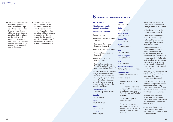15. Declarations: The Insured shall make quarterly declarations of all Trips as defined herein and at the end of each Period of Insurance the deposit premium shall be adjusted on the basis of such declarations by payment of an appropriate addition or return premium subject to the agreed minimum annual premium.

16. Observance of Terms: The due observance and fulfillment of the Terms, Limitations and Conditions of this Policy so far as they relate to anything to be done or complied with by the Insured shall be condition precedent to any liability of the Company to make any payment under this Policy.

#### **PROCEDURE A**

**Situations that require immediate assistance** 

#### **What kind of situations?**

#### If you are in need of:

**Or email us at:** medex.travel@axa

- Emergency Medical Expenses - Section 2
- Emergency Repatriation Expenses - Section 2
- Personal Liability Section 6 Overseas Legal Assistance -
- Section 6
- Repatriation of mortal remains - Section 7
- Prescription Assistance, Travel Advisories, Translation and Intrepretation - Section 7

- Your family nam name;
- The name of the company (AXA C as well as the in Policy Number Insurance;
- The date of entr visited country;
- The name, addre telephone number of the Medical Centre to which the Insured Person has been admitted;

Immediately after the occurrence of any event the consequence of which could result in a claim, you or any other person acting on your behalf should contact us in order to receive our prior approval and indication on the procedure to follow.

**Contact AXA Gulf** 24 hours a day, 7 days a week

**Bahrain**  +973 17 582 612

**Egypt**  +208 0 000 00258

**Kuwait**  +965 2 232 2970

**Lebanon** +961 1 518018

#### **Oman**  +968 80072926

**Qatar**  +974 4412 8733

**Saudi Arabia:**  +966 1 477 6706

**South Africa** +27 116229607

**Syria**  + 963 11 663 1118

**UAE**  +971 4 429 4000

**United Kingdom**  +44 1 892 556767

**USA**  +1 312 356 5976

**All Other Countri** Call any of the abo

You should state:

|                                                                                   | • The name and address of<br>the Medical Practitioner in<br>charge of the Insured Person;                                                                                                                                                                                                                                                           |
|-----------------------------------------------------------------------------------|-----------------------------------------------------------------------------------------------------------------------------------------------------------------------------------------------------------------------------------------------------------------------------------------------------------------------------------------------------|
|                                                                                   | • A brief description of the<br>problems encountered.                                                                                                                                                                                                                                                                                               |
|                                                                                   | A medical expert appointed<br>by us will have free access to<br>the Insured Person and his/<br>her medical file to assess the<br>validity of the claim.                                                                                                                                                                                             |
| ies<br>ove numbers                                                                | In the event of a medical<br>transfer or repatriation, the<br>means of transportation<br>will be ambulance, train or<br>scheduled flight. Air ambulance<br>transportation is limited to intra-<br>continental transportations and<br>to critical cases which cannot<br>be accommodated by any of<br>the above mentioned means of<br>transportation. |
| a-gulf.com                                                                        | In any case, we, upon agreement<br>with the treating physician,<br>will choose the means of<br>transportation to be used.                                                                                                                                                                                                                           |
| าe and first<br>e Insurance<br>Gulf Insurance)<br><b>surance</b><br>and Period of | In any case of Illness or Bodily<br>Injury requiring hospitalisation,<br>the Insured Person or any<br>person acting on his/her behalf<br>must inform us within 48 hours<br>from the time of occurrence.                                                                                                                                             |
| y in the<br>ess and<br>her of the                                                 | When we take care of the<br>repatriation of the Insured<br>Person, the Insured Person shall<br>return the ticket or the refund<br>thereon to us.                                                                                                                                                                                                    |

As soon as a claim occurs, the Insured Person must make every endeavour to limit or stop its consequences.

# **6 What to do in the event of a Claim**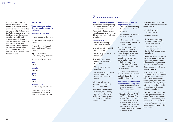If during an emergency, or due to any valid reason, AXA Gulf cannot be contacted for prior approval, the claim may still be considered subject otherwise to the Policy terms and conditions. In all such cases, the expenses must be reasonable and customary and all documents (medical report, bills, etc) must be forwarded to AXA Gulf for their approval and acceptance. No claim will be considered if AXA Gulf have not been contacted within 30 days of the Accident or Illness.

#### **PROCEDURE B**

**Travel inconvenience that does not require immediate assistance** 

#### **What kind of situations?**

Personal Accident - Section 1

Personal Belongings/Baggage - Section 3

Personal Money, Misuse of Credit Card/Loss of Passport - Section 4

Trip Cancellation or Curtailment/Delay - Section 5

Contact our AXA branches:

#### **UAE**

800 292

#### **Bahrain**

8000 1060

#### **Qatar**

800 29 21

#### **Oman**

800 70 292

**Or email us at:** travel.claims@axa-gulf.com

Please refer to the related chapters for more details on what to do in case of a claim.

#### **How and where to complain**

We are committed to providing you with an exceptional level of service and customer care. We do realise that things can sometimes go wrong, and when this happens, we would like to hear about it.

#### **Our promise to you**

- a. We will acknowledge complaints promptly.
- b. We will investigate quickly and thoroughly.
- c. We will keep you informed of the progress.
- d. We will do everything possible to resolve your complaint.
- e. We will learn from our mistakes.
- f. We will use the information from complaints to continuously improve our service.

Telephone calls may be recorded for training and monitoring purposes.

If it is about your Policy or Claim or any other matter, please call your Insurance Adviser or, if none has been appointed by you, please contact us directly.

#### **To help us assist you, we request that you:**

- Attach relevant supporting documents if you deem it necessary;
- Ask the questions you would like us to answer; and
- Tell us what you think would be a reasonable response to your complaint.

Support and assistance is available for the process of making complaints and/or interpreting the complaints procedure. Our internal complaints management policy and procedure include the provision of remedies that reflect what is fair and reasonable in the circumstances.

We would like to assure you that all matters are dealt with seriously, impartially and in a confidential manner.

#### **Your complaint can be made in any of the following ways:**

• Visit our website www.axa-

gulf.com - select the Country where your insurance policy was issued and select 'Complaints' under 'AXA & You' (at the bottom of the webpage) and register your complaint. An automated email will be received by you providing you with the Reference Number which should be quoted in all future communications.

Alternatively, should you not have an email address or access to the internet:-

- Send a letter to the management; or
- Transmit a fax; or
- Call us and request our Customer Service Staff to register your complaint; or
- Walk into our office and request our Customer Service Staff to register your complaint.

In these situations, and on your behalf, the complaint will be registered by our Staff and a Reference Number generated and provided to you which should be quoted in all future communications.

Whilst all efforts will be made to revert back within 7 working days, if our final response will be delayed beyond 15 working days, or if more time is needed for investigation, we will inform you when we will be able to contact you again about the complaint.

If you are dissatisfied with our final response or dissatisfied with the delay in our response (beyond 15 working days) you may refer the complaint to the Insurance Regulator whose contact details are provided on our website.

## **7 Complaints Procedure**